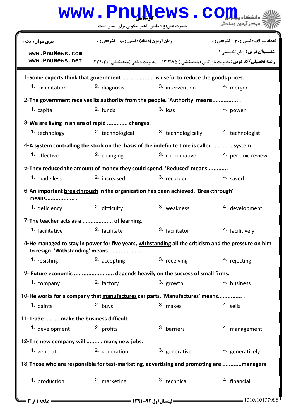## حضرت علي(ع): دانش راهبر نيكويي براي ايمان است www.Pnu<u>N</u>ews.com **عنـــوان درس:** زبان تخصصي ۱ **رشته تحصیلی/کد درس: م**دیریت بازرگانی (چندبخشی ) ۱۲۱۲۱۷۵ - ،مدیریت دولتی (چندبخشی )۱۲۳۴۰۳۱ تعداد سوالات : تستي تشريحي زمان آزمون (دقيقه) : تستي تشريحي سري سوال # \$ &: '&: & %&: : : 1-Some experts think that government .................... is useful to reduce the goods prices. **1.** exploitation **2.** diagnosis **1.** 3. intervention **1.** merger 2- The government receives its authority from the people. 'Authority' means................. capital and the capital funds of  $\frac{2}{\cdot}$  funds the  $\frac{3}{\cdot}$  loss and  $\frac{4}{\cdot}$  power  $\frac{1}{2}$  capital  $\frac{2}{3}$  funds  $\frac{3}{3}$  loss  $\frac{4}{3}$ We are living in an era of rapid ............. changes. 3- **1.** technology  $\frac{2}{5}$  technological  $\frac{3}{5}$  technologically  $\frac{4}{5}$  technologist 2. technological 4-A system contralling the stock on the basis of the indefinite time is called ............ system. 1. effective  $2.$  changing  $3.$  coordinative  $4.$  peridoic review 3. coordinative 5-They **reduced** the amount of money they could spend. 'Reduced' means.............. 1. made less 2. increased 3. recorded 4. saved 2. increased 6-An important **breakthrough** in the organization has been achieved. 'Breakthrough' means.................. . 1. deficiency  $2.$  difficulty  $3.$  weakness  $4.$  development 3. weakness 7-The teacher acts as a ................... of learning. **1.** facilitative **1. 1.** *facilitate* **1.** *facilitator* **1.** *facilitively* 8-He managed to stay in power for five years, <u>withstanding</u> all the criticism and the pressure on him to resign. 'Withstanding' means...................... . 1. resisting **2.** accepting **1.** 3. receiving **1.** 4. rejecting 9- Future economic ......................... depends heavily on the success of small firms. 2. factory  $3.$  growth  $4.$  business 1. company 10-He works for a company that manufactures car parts. 'Manufactures' means................ paints and the sells of the sells of the sells of the sells of the sells of the sells of the sells of the sell  $\frac{1}{2}$   $\frac{1}{2}$   $\frac{1}{2}$   $\frac{1}{2}$   $\frac{1}{2}$   $\frac{1}{2}$   $\frac{1}{2}$   $\frac{1}{2}$   $\frac{1}{2}$   $\frac{1}{2}$   $\frac{1}{2}$   $\frac{1}{2}$   $\frac{1}{2}$   $\frac{1}{2}$   $\frac{1}{2}$   $\frac{1}{2}$   $\frac{1}{2}$   $\frac{1}{2}$   $\frac{1}{2}$   $\frac{1}{2}$   $\frac{1}{2}$   $\frac{1}{2}$  11-Trade ......... make the business difficult. 2. profits  $\frac{3}{2}$  barriers  $\frac{4}{2}$  management 1. development 12- The new company will .......... many new jobs. **1.** generate **1.** 2. generation **1.** 3. generative **1.** 3. generatively 13-Those who are responsible for test-marketing, advertising and promoting are ............managers **1.** production **2.** marketing **1.** 3. technical **1.** 4. financial **[www.PnuNews.com](http://pnunews.com) [www.PnuNews.net](http://www.PnuNews.net)**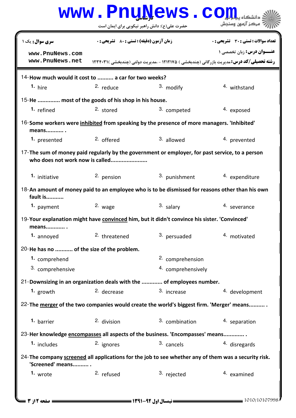| www.PnuNews.co                                                                                                                     |                                                    |                    |                                                                                                                                             |  |  |
|------------------------------------------------------------------------------------------------------------------------------------|----------------------------------------------------|--------------------|---------------------------------------------------------------------------------------------------------------------------------------------|--|--|
|                                                                                                                                    | حضرت علی(ع): دانش راهبر نیکویی برای ایمان است      |                    | مركز آزمون وسنجش                                                                                                                            |  |  |
| <b>سری سوال :</b> یک ۱                                                                                                             | <b>زمان آزمون (دقیقه) : تستی : 80 ٪ تشریحی : 0</b> |                    | <b>تعداد سوالات : تستي : 30 ٪ تشريحي : 0</b>                                                                                                |  |  |
| www.PnuNews.com<br>www.PnuNews.net                                                                                                 |                                                    |                    | <b>عنــوان درس:</b> زبان تخصصی ۱<br><b>رشته تحصیلی/کد درس:</b> مدیریت بازرگانی (چندبخشی ) ۱۲۱۲۱۷۵ - .مدیریت دولتی (چندبخشی )۲۳۴۰۳۱ <b>۱</b> |  |  |
| 14-How much would it cost to  a car for two weeks?                                                                                 |                                                    |                    |                                                                                                                                             |  |  |
| 1. hire                                                                                                                            | $2.$ reduce                                        | 3. modify          | <sup>4</sup> withstand                                                                                                                      |  |  |
| 15-He  most of the goods of his shop in his house.                                                                                 |                                                    |                    |                                                                                                                                             |  |  |
| 1. refined                                                                                                                         | 2. stored                                          | 3. competed        | 4. exposed                                                                                                                                  |  |  |
| 16-Some workers were inhibited from speaking by the presence of more managers. 'Inhibited'<br>means .                              |                                                    |                    |                                                                                                                                             |  |  |
| 1. presented                                                                                                                       | 2. offered                                         | 3. allowed         | 4. prevented                                                                                                                                |  |  |
| 17-The sum of money paid regularly by the government or employer, for past service, to a person<br>who does not work now is called |                                                    |                    |                                                                                                                                             |  |  |
| 1. initiative                                                                                                                      | 2. pension                                         | 3. punishment      | 4. expenditure                                                                                                                              |  |  |
| 18-An amount of money paid to an employee who is to be dismissed for reasons other than his own<br>fault is                        |                                                    |                    |                                                                                                                                             |  |  |
| 1. payment                                                                                                                         | 2. wage                                            | 3. salary          | 4. severance                                                                                                                                |  |  |
| 19-Your explanation might have convinced him, but it didn't convince his sister. 'Convinced'<br>means .                            |                                                    |                    |                                                                                                                                             |  |  |
| 1. annoyed                                                                                                                         | <sup>2</sup> threatened                            | 3. persuaded       | 4. motivated                                                                                                                                |  |  |
| 20-He has no  of the size of the problem.                                                                                          |                                                    |                    |                                                                                                                                             |  |  |
| 1. comprehend                                                                                                                      |                                                    | 2. comprehension   |                                                                                                                                             |  |  |
| 3. comprehensive                                                                                                                   |                                                    | 4. comprehensively |                                                                                                                                             |  |  |
| 21-Downsizing in an organization deals with the  of employees number.                                                              |                                                    |                    |                                                                                                                                             |  |  |
| 1. growth                                                                                                                          | 2. decrease                                        | 3. increase        | 4. development                                                                                                                              |  |  |
| 22-The merger of the two companies would create the world's biggest firm. 'Merger' means                                           |                                                    |                    |                                                                                                                                             |  |  |
| 1. barrier                                                                                                                         | 2. division                                        | 3. combination     | 4. separation                                                                                                                               |  |  |
| 23-Her knowledge encompasses all aspects of the business. 'Encompasses' means                                                      |                                                    |                    |                                                                                                                                             |  |  |
| 1. includes                                                                                                                        | 2. ignores                                         | 3. cancels         | 4. disregards                                                                                                                               |  |  |
| 24-The company screened all applications for the job to see whether any of them was a security risk.<br>'Screened' means           |                                                    |                    |                                                                                                                                             |  |  |
| 1. wrote                                                                                                                           | <sup>2.</sup> refused                              | 3. rejected        | 4. examined                                                                                                                                 |  |  |